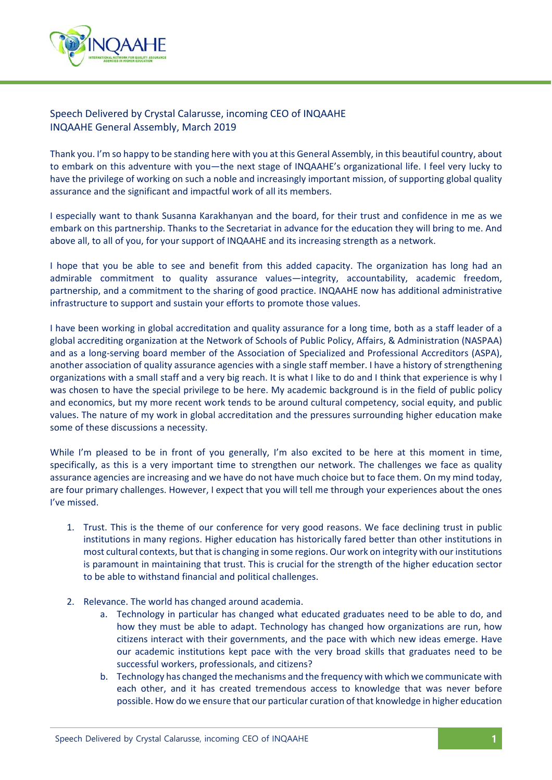

## Speech Delivered by Crystal Calarusse, incoming CEO of INQAAHE INQAAHE General Assembly, March 2019

Thank you. I'm so happy to be standing here with you at this General Assembly, in this beautiful country, about to embark on this adventure with you—the next stage of INQAAHE's organizational life. I feel very lucky to have the privilege of working on such a noble and increasingly important mission, of supporting global quality assurance and the significant and impactful work of all its members.

I especially want to thank Susanna Karakhanyan and the board, for their trust and confidence in me as we embark on this partnership. Thanks to the Secretariat in advance for the education they will bring to me. And above all, to all of you, for your support of INQAAHE and its increasing strength as a network.

I hope that you be able to see and benefit from this added capacity. The organization has long had an admirable commitment to quality assurance values—integrity, accountability, academic freedom, partnership, and a commitment to the sharing of good practice. INQAAHE now has additional administrative infrastructure to support and sustain your efforts to promote those values.

I have been working in global accreditation and quality assurance for a long time, both as a staff leader of a global accrediting organization at the Network of Schools of Public Policy, Affairs, & Administration (NASPAA) and as a long‐serving board member of the Association of Specialized and Professional Accreditors (ASPA), another association of quality assurance agencies with a single staff member. I have a history of strengthening organizations with a small staff and a very big reach. It is what I like to do and I think that experience is why I was chosen to have the special privilege to be here. My academic background is in the field of public policy and economics, but my more recent work tends to be around cultural competency, social equity, and public values. The nature of my work in global accreditation and the pressures surrounding higher education make some of these discussions a necessity.

While I'm pleased to be in front of you generally, I'm also excited to be here at this moment in time, specifically, as this is a very important time to strengthen our network. The challenges we face as quality assurance agencies are increasing and we have do not have much choice but to face them. On my mind today, are four primary challenges. However, I expect that you will tell me through your experiences about the ones I've missed.

- 1. Trust. This is the theme of our conference for very good reasons. We face declining trust in public institutions in many regions. Higher education has historically fared better than other institutions in most cultural contexts, but that is changing in some regions. Our work on integrity with our institutions is paramount in maintaining that trust. This is crucial for the strength of the higher education sector to be able to withstand financial and political challenges.
- 2. Relevance. The world has changed around academia.
	- a. Technology in particular has changed what educated graduates need to be able to do, and how they must be able to adapt. Technology has changed how organizations are run, how citizens interact with their governments, and the pace with which new ideas emerge. Have our academic institutions kept pace with the very broad skills that graduates need to be successful workers, professionals, and citizens?
	- b. Technology has changed the mechanisms and the frequency with which we communicate with each other, and it has created tremendous access to knowledge that was never before possible. How do we ensure that our particular curation of that knowledge in higher education